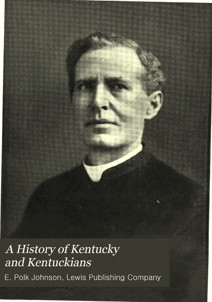History of Kentucky<br>A History of Kentucky<br>and Kentuckians E.<br>
A History of Kentucky<br>
E. Polk Johnson, Lewis Publishing Company<br>
E. Polk Johnson, Lewis Publishing Company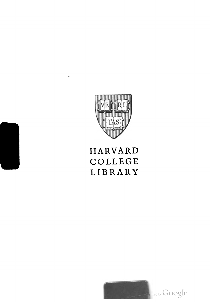

## HARVARD COLLEGE LIBRARY

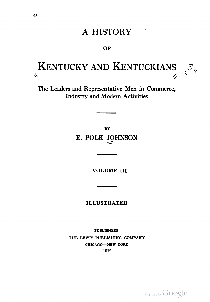## **A HISTORY**

**OF** 

## KENTUCKY AND KENTUCKIANS  $3,$  $\mathcal{N}$  $\boldsymbol{\mathcal{L}}$

The Leaders and Representative Men in Commerce, Industry and Modern Activities

> BY E. POLK JOHNSON

> > VOLUME III

ILLUSTRATED

PUBLISHERS: THE LEWIS PUBLISHING COMPANY CHICAGO—NEW YORK 1912

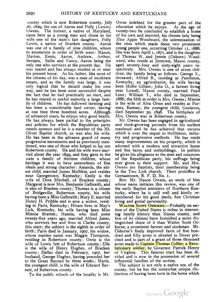county which is now Robertson county, July 26, 1829, the son of Aaron and Polly (Lewis) Owens. The former, a native of Maryland, came here as young man and chose as his wife one of the state's fair daughters, Polly Lewis, a native of Bracken county. Aaron was one of a family of nine children, whom to enumerate in order of birth were: Mason, Marion, Ennis, Aaron, Andrew, Arthur, Serepta, Sallie and Nancy, Aaron being the only one who survives at the present day. He was reared and has always resided at or near his present home. As his father, like most of the citizens of his day, was a man of moderate means, and as the family was large, it was only logical that he should make his own way, and he has been most successful despite the fact that he had practically no start, and he has reared to useful maturity a large family of children. He has followed fanning and has been a considerable land owner, having at one time three hundred acres. Although of advanced years, he enjoys very good health. He has always been partial to the principles and policies for which the Republican party stands sponsor and he is a member of the Mt. Olivet Baptist church, as was also his wife. He has been in the advance guard of many progressive movements and as previously men tioned, was one of those who helped to lay out Robertson county. He and his wife were mar ried about the year 1849, and they gave to the state a family of thirteen children, whose heritage it was to have antecedents of fine ideals and strong character: Amanda, the eldest child, married James Mullikin, and resides near Georgetown, Kentucky; Emily is the wife of Dora Mitchell, of Bracken county; Margaret is now Mrs. Benjamin Galbraith, and is also of Bracken county; Thomas is a citizen of Bridgeville, Robertson county, his wife having been a Miss Galbraith; Mary E. married Henry H. Pribble and is now a widow, residing in Paris, Kentucky; Hiram lives in May's Lick, Kentucky, his wife having been Miss Minnie Bratten; Nannie, who died some twenty-five years ago, married Alfred Jones, who survives her and lives in Clarke county, this state; the subject is the eighth in order of birth; Paris died in January, 1907, his widow, whose maiden name was Maggie Thompson, residing in Robertson county; Orrie is the wife of Lewis Jett of Robertson county; Ella is the wife of Henry Hughes, of Bracken county; Dallas died in February, 1907, her husband, George Hughes, having preceded her to the Great Beyond by three weeks; Maria, the youngest child, is the wife of Edward Barnett, of Robertson county.

To the public schools of the locality is Mr.

Owen indebted for the greater part of the education which he enjoys. At the age of twenty-two he concluded to establish a home of his own and married, his chosen lady being Miss Appie Woodward, the solemnization of the rites which made these two prominent young people one, occurring October 11, 1888. She was born April 1,1871, and is the daughter of Thomas W. and Jennie (Osborn) Wood ward, who reside at Jimtown, Mason county, aged seventy-four and sixty-eight years re spectively. Mrs. Owens is one of seven chil dren, the family being as follows: George N., deceased; Alfred R., residing at Pendleton, Kentucky, an agriculturist, his wife having been Mollie Gillam; John O., a farmer living near Lowell, Mason county, married Pearl Linn; William T., who died in September, 1888; the fifth in order is Mrs. Owens; Minnie is the wife of Alva Orme and resides at Par sons, Kansas; the youngest child, Gustavus, died September 30, 1898. The birthplace of Mrs. Owens was in Robertson county.

Mr. Owens has been engaged in agricultural and stock-growing pursuits from his earliest manhood and he has achieved that success which is ever the sequel to thriftiness, indus try and progressive methods. He has made many improvements on his property, which is adorned with a modern and attractive home and fine barns and outbuildings. In politics he gives his allegiance to the men and measures of the Republican party, his suffrage being ever given to their support. Mr. and Mrs. Owens are Baptists, their membership being in the Two Lick church. Their postoffice is Germantown, R. F. D. No. 1.

Rev. Mr. Mason Owens, an uncle of him whose name initiates this review, was one of the early Baptist ministers of Northern Ken tucky, where he is still well and kindly re membered for his good deeds, fine Christian living and genial personality.

WALTER SCOTT OSBORNE.-Probably no section of the United States is richer in interest ing family history than Mason county, and few of its citizens have furnished a more distinguished share of it than Walter Scott Os borne, a prominent farmer and stockman. Mr. Osborne's finely improved farm of five hun dred and fifty acres is situated in Dover pre cinct and is part of a grant of three thousand acres made to Captain Thomas Collier, a Revo lutionary soldier, by Governor Patrick Henry of Virginia. This famous tract has been di vided and is now in the possession of several influential families of the section.

The subject is not only a native son of the county, but he has the somewhat unique dis tinction of having been born in the home which

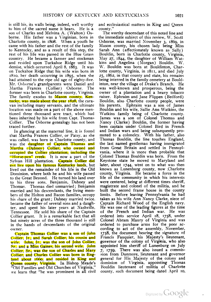is still his, its walls being, indeed, well worthy to him of the sacred name it bears. He is son of Charles and Melvina A. (Walton) Os borne. His father was a Virginian, born in Charlotte county, in 1808. When a youth he came with his father and the rest of the family to Kentucky, and as a result of this step, the rest of his life was passed in the Blue Grass country. He became a farmer and stockman and resided upon Tuckahoe Ridge until his demise, which occurred April 8, 1883. It was on Tuckahoe Ridge that his wife was born in 1810, her death occurring in 1895, when she had attained to the ripe old age of eighty-five. Mr. Osborne's grandparents were Daniel and Martha Frances (Collier) Osborne. The former was born in Charlotte county, Virginia. The family exodus to Mason county, Kentucky, was made about the year 1828, the caravan including many servants, and the ultimate location was made on a part of the above mentioned three thousand acre tract, which had been inherited by his wife from Capt. Thomas Collier. The Osborne genealogy has not been traced further.

In glancing at the maternal line, it is found that Martha Frances Collier, or Patsy, as she was called, was born in Charlotte county, and was the daughter of Captain Thomas and Martha (Dabney) Collier, who owned and occupied the Collier plantation, including the "Horse-pen" creek. It is now a part of the Sylvan Hill plantation. Captain Collier did not live upon his famous Kentucky lands, but lived out the remainder of his life in the Old Dominion, where both he and his wife passed to the Great Beyond. He turned his land over to his three sons, Benjamin, Dabney and Thomas. Thomas died unmarried; Benjamin married and his descendants, the living mem bers of the Holton and Bacon families, occupy his share of the grant; Dabney married twice. became the father of several sons and a daughter, and spent his later years at Nashville, Tennessee. He sold his share of the Captain Collier grant. It is a remarkable fact that all but ninety acres of the three thousand is still in the hands of descendants of the original owner.

Captain Thomas Collier was a son of John Collier, Ir., and Sarah Collier, his cousin and wife. John, Jr.. was the son of John Collier, Sr., and Miss Gaines, his second wife. John Collier, Sr., was the son of Charles and Mary Collier, and Charles Collier was born in Eng land about 1660, and resided in King and Rikt about Tocky, and Testica in Ting and "Old Families and Old Churches of Virginia," we learn that "he was prominent in all civil

and ecclesiastical matters in King and Queen county."

The worthy descendant of this noted line and the immediate subject of this review, W. Scott Osborne, was married November 3, 1869, in Mason county, his chosen lady being Miss Sarah Ann (affectionately known as Sally) Bouldin, born in Charlotte county, Virginia, May 27, 1844, the daughter of William Watkins and Angelina (Morgan) Bouldin. W. W. Bouldin was born at Bouldinton, Char lotte county, Virginia, in 1811, and died July 25, 1862, in that county and state, his remains being interred in the family cemetery at Bould inton, near the village of Drake's Branch. He was well-known and prosperous, being the owner of a plantation and a heavy tobacco raiser. Ephraim and Jane Flippen (Bedford) Bouldin, also Charlotte county people, were his parents. Ephraim was a son of James Bouldin and his wife, Sallie Ann Watkins, the Watkins family being of Charlotte county. James was a son of Colonel Thomas and Nancy (Clarke) Bouldin, the former having been captain under Colonel Bird in French and Indian wars and being subsequently pro moted to a colonelcy. With his father, also Thomas Bouldin, the line touches England, the last named gentleman having immigrated from Great Britain and settled in Pennsyl vania, where it is more than probable that Colonel Thomas Bouldin was born. From the Keystone state he moved to Maryland and later, about 1744, went on to what was then known as Lunenburg county, now Charlotte county, Virginia. He became a force in the life of the community in which his interests were centered, being at different times sheriff, magistrate and colonel of the militia, and he built the second frame house in the county limits. Before leaving Pennsylvania he had taken as his wife Ann Nancy Clarke, niece of Captain Richard Wood of the English navy. He was one of the leading figures at the time of the French and Indian war. He was ordered into service April 18, 1758, under Colonel Abram Maury of Virginia and was ordered to purchase arms for the poor ac cording to act of the assembly, November. 1758, the document bearing the signature of Francis Fauquier, his Majesty's lieutenant, governor of the colony of Virginia, who also appointed him sheriff of Lunenburg on July 7, 1759, There was also issued a commission from Dunmore, lieutenant and governor general for His Majesty of the colony and dominion of Virginia, appointing Thomas Bouldin lieutenant of militia of Charlotte county, such document being dated April 10,